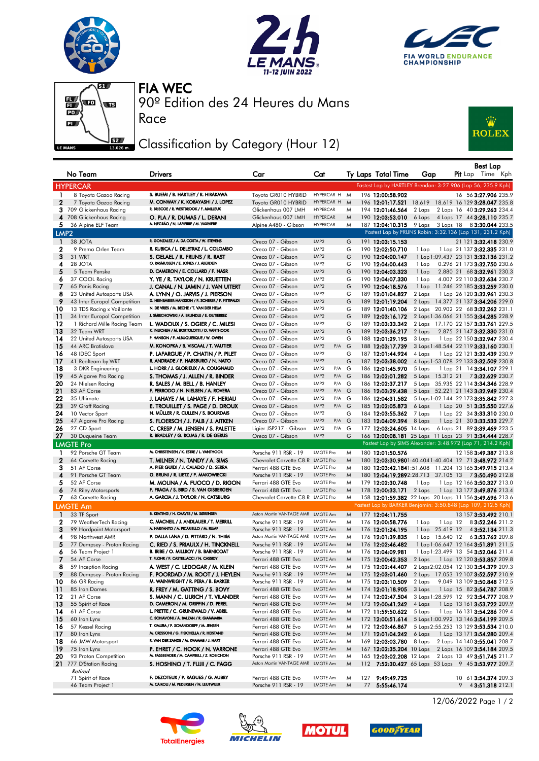







Race

90º Edition des 24 Heures du Mans FIA WEC

## Classification by Category (Hour 12)



|                  | No Team                                  | <b>Drivers</b>                                                           | Car                                    | Cat                                    |   | Ty Laps Total Time                                            | Gap              |                 |  | Best Lap<br>Pit Lap Time Kph                             |
|------------------|------------------------------------------|--------------------------------------------------------------------------|----------------------------------------|----------------------------------------|---|---------------------------------------------------------------|------------------|-----------------|--|----------------------------------------------------------|
|                  | <b>HYPERCAR</b>                          |                                                                          |                                        |                                        |   | Fastest Lap by HARTLEY Brendon: 3:27.906 (Lap 56, 235.9 Kph)  |                  |                 |  |                                                          |
| 1                | 8 Toyota Gazoo Racing                    | S. BUEMI / B. HARTLEY / R. HIRAKAWA                                      | Toyota GR010 HYBRID                    | HYPERCAR H                             | M | 196 12:00:58.902                                              |                  |                 |  | 16 56 3:27.906 235.9                                     |
| $\mathbf{2}$     | 7 Toyota Gazoo Racing                    | M. CONWAY / K. KOBAYASHI / J. LOPEZ                                      | Toyota GR010 HYBRID                    | HYPERCAR H                             | M | 196 12:01:17.521                                              |                  |                 |  | 18.619 18.619 16 129 3:28.047 235.8                      |
| 3                | 709 Glickenhaus Racing                   | R. BRISCOE / R. WESTBROOK / F. MAILLEUX                                  | Glickenhaus 007 LMH                    | <b>HYPERCAR</b>                        | M | 194 12:01:46.564                                              | 2 Laps           |                 |  | 2 Laps 16 40 3:29.263 234.4                              |
|                  | 4 708 Glickenhaus Racing                 | O. PLA / R. DUMAS / L. DERANI                                            | Glickenhaus 007 LMH                    | <b>HYPERCAR</b>                        | M | 190 12:03:53.010                                              | 6 Laps           |                 |  | 4 Laps 17 44 3:28.110 235.7                              |
| 5.               | 36 Alpine ELF Team                       | A. NEGRÃO / N. LAPIERRE / M. VAXIVIERE                                   | Alpine A480 - Gibson                   | <b>HYPERCAR</b>                        | M | 187 12:04:10.315                                              |                  |                 |  | 9 Laps 3 Laps 18 83:30.044 233.5                         |
| LMP <sub>2</sub> |                                          |                                                                          |                                        |                                        |   | Fastest Lap by FRIJNS Robin: 3:32.136 (Lap 131, 231.2 Kph)    |                  |                 |  |                                                          |
| $\mathbf{1}$     | 38 JOTA                                  | R. GONZALEZ / A. DA COSTA / W. STEVENS                                   | Oreca 07 - Gibson                      | LMP2                                   | G | 191 12:03:15.153                                              |                  |                 |  | 21 121 3:32.418 230.9                                    |
| 2                | 9 Prema Orlen Team                       | R. KUBICA / L. DELETRAZ / L. COLOMBO                                     | Oreca 07 - Gibson                      | LMP2                                   | G | 190 12:02:50.710                                              | 1 Lap            |                 |  | 1 Lap 21 137 3:32.335 231.0                              |
| 3                | 31 WRT                                   | S. GELAEL / R. FRIJNS / R. RAST                                          | Oreca 07 - Gibson                      | LMP2                                   | G | 190 12:04:00.147                                              |                  |                 |  | 1 Lap 1:09.437 23 131 3:32.136 231.2                     |
| 4                | 28 JOTA                                  | O. RASMUSSEN / E. JONES / J. ABERDEIN                                    | Oreca 07 - Gibson                      | LMP2                                   | G | 190 12:04:00.443                                              | 1 Lap            |                 |  | 0.296 21 173 3:32.750 230.6                              |
| 5                | 5 Team Penske                            | D. CAMERON / E. COLLARD / F. NASR                                        | Oreca 07 - Gibson                      | LMP <sub>2</sub>                       | G | 190 12:04:03.323                                              | 1 Lap            |                 |  | 2.880 21 68 3:32.961 230.3                               |
| 6                | 37 COOL Racing                           | Y. YE / R. TAYLOR / N. KRUETTEN                                          | Oreca 07 - Gibson                      | LMP2                                   | G | 190 12:04:07.330                                              | 1 Lap            |                 |  | 4.007 22 110 3:32.634 230.7                              |
| 7                | 65 Panis Racing                          | J. CANAL / N. JAMIN / J. VAN UITERT                                      | Oreca 07 - Gibson                      | LMP2                                   | G | 190 12:04:18.576                                              | 1 Lap            |                 |  | 11.246 22 185 3:33.259 230.0                             |
| 8                | 23 United Autosports USA                 | A. LYNN / O. JARVIS / J. PIERSON                                         | Oreca 07 - Gibson                      | LMP2                                   | G | 189 12:01:04.827                                              | 2 Laps           |                 |  | 1 Lap 26 120 3:32.961 230.3                              |
| 9                | 43 Inter Europol Competition             | D. HEINEMEIER-HANSSON / F. SCHERER / P. FITTIPALDI                       | Oreca 07 - Gibson                      | LMP2                                   | G | 189 12:01:19.204                                              |                  |                 |  | 2 Laps 14.377 21 137 3:34.206 229.0                      |
| 10               | 13 TDS Racing x Vaillante                | N. DE VRIES / M. BECHE / T. VAN DER HELM                                 | Oreca 07 - Gibson                      | LMP2                                   | G | 189 12:01:40.106                                              |                  |                 |  | 2 Laps 20.902 22 68 3:32.262 231.1                       |
| $\overline{11}$  | 34 Inter Europol Competition             | J. SMIECHOWSKI / A. BRUNDLE / E. GUTIERREZ                               | Oreca 07 - Gibson                      | LMP2                                   | G | 189 12:03:16.172                                              |                  |                 |  | 2 Laps 1:36.066 21 155 3:34.285 228.9                    |
| 12               | 1 Richard Mille Racing Team              | L. WADOUX / S. OGIER / C. MILESI                                         | Oreca 07 - Gibson                      | LMP <sub>2</sub>                       | G | 189 12:03:33.342                                              |                  |                 |  | 2 Laps 17.170 22 157 3:33.761 229.5                      |
| 13               | 32 Team WRT                              | R. INEICHEN / M. BORTOLOTTI / D. VANTHOOR                                | Oreca 07 - Gibson                      | LMP <sub>2</sub>                       | G | 189 12:03:36.217                                              | 2 Laps           |                 |  | 2.875 21 147 3:32.330 231.0                              |
| 14               | 22 United Autosports USA                 | P. HANSON / F. ALBUQUERQUE / W. OWEN                                     | Oreca 07 - Gibson                      | LMP2                                   | G | 188 12:01:29.195                                              | 3 Laps           |                 |  | 1 Lap 22 150 3:32.947 230.4                              |
| -15              | 44 ARC Bratislava                        | M. KONOPKA / B. VISCAAL / T. VAUTIER                                     | Oreca 07 - Gibson                      | LMP <sub>2</sub><br>P/A                | G | 188 12:03:17.739                                              |                  |                 |  | 3 Laps 1:48.544 22 119 3:33.160 230.1                    |
| 16               | 48 IDEC Sport                            | P. LAFARGUE / P. CHATIN / P. PILET                                       | Oreca 07 - Gibson                      | LMP2                                   | G | 187 12:01:44.924                                              | 4 Laps           |                 |  | 1 Lap 22 121 3:32.439 230.9                              |
| 17               | 41 Realteam by WRT                       | R. ANDRADE / F. HABSBURG / N. NATO                                       | Oreca 07 - Gibson                      | LMP <sub>2</sub>                       | G | 187 12:03:38.002                                              |                  |                 |  | 4 Laps 1:53.078 22 133 3:32.509 230.8                    |
| 18               | 3 DKR Engineering                        | L. HORR / J. GLORIEUX / A. COUGNAUD                                      | Oreca 07 - Gibson                      | LMP2<br>P/A G                          |   | 186 12:01:45.970                                              | 5 Laps           |                 |  | 1 Lap 21 14 3:34.107 229.1                               |
| 19               | 45 Algarve Pro Racing                    | S. THOMAS / J. ALLEN / R. BINDER                                         | Oreca 07 - Gibson                      | LMP <sub>2</sub><br>$P/A$ G            |   | 186 12:02:01.282                                              |                  |                 |  | 5 Laps 15.312 21 73:32.629 230.7                         |
| 20               | 24 Nielsen Racing                        | R. SALES / M. BELL / B. HANLEY<br>F. PERRODO / N. NIELSEN / A. ROVERA    | Oreca 07 - Gibson                      | LMP2<br>$P/A$ G                        |   | 186 12:02:37.217                                              |                  |                 |  | 5 Laps 35.935 22 114 3:34.346 228.9                      |
| 21               | 83 AF Corse                              |                                                                          | Oreca 07 - Gibson<br>Oreca 07 - Gibson | LMP <sub>2</sub><br>$P/A$ $G$<br>LMP2  |   | 186 12:03:29.438                                              |                  |                 |  | 5 Laps 52.221 21 143 3:32.949 230.4                      |
| 22               | 35 Ultimate                              | J. LAHAYE / M. LAHAYE / F. HERIAU                                        | Oreca 07 - Gibson                      | P/A G<br>LMP <sub>2</sub><br>$P/A$ $G$ |   | 186 12:04:31.582                                              |                  |                 |  | 5 Laps 1:02.144 22 173 3:35.842 227.3                    |
| 23<br>24         | 39 Graff Racing                          | E. TROUILLET / S. PAGE / D. DROUX<br>N. MÜLLER / R. CULLEN / S. BOURDAIS | Oreca 07 - Gibson                      | LMP2                                   | G | 185 12:02:05.873                                              | 6 Laps           |                 |  | 1 Lap 20 51 3:35.550 227.6                               |
| 25               | 10 Vector Sport<br>47 Algarve Pro Racing | S. FLOERSCH / J. FALB / J. AITKEN                                        | Oreca 07 - Gibson                      | LMP <sub>2</sub><br>$P/A$ $G$          |   | 184 12:03:55.362<br>183 12:04:09.394                          | 7 Laps<br>8 Laps |                 |  | 1 Lap 22 34 3:33.310 230.0<br>1 Lap 21 30 3:33.533 229.7 |
| 26               | 27 CD Sport                              | C. CRESP / M. JENSEN / S. PALETTE                                        | Ligier JSP217 - Gibson                 | LMP2<br>P/A G                          |   | 177 12:03:24.605 14 Laps 6 Laps 21 89 3:39.469 223.5          |                  |                 |  |                                                          |
| 27               | 30 Duqueine Team                         | R. BRADLEY / G. ROJAS / R. DE GERUS                                      | Oreca 07 - Gibson                      | LMP <sub>2</sub>                       | G | 166 12:00:08.181 25 Laps 11 Laps 23 91 3:34.444 228.7         |                  |                 |  |                                                          |
|                  | <b>LMGTE Pro</b>                         |                                                                          |                                        |                                        |   | Fastest Lap by SIMS Alexander: 3:48.972 (Lap 71, 214.2 Kph)   |                  |                 |  |                                                          |
| 1                | 92 Porsche GT Team                       | M. CHRISTENSEN / K. ESTRE / L. VANTHOOR                                  | Porsche 911 RSR - 19                   | <b>LMGTE Pro</b>                       | M | 180 12:01:50.576                                              |                  |                 |  | 12 158 3:49.387 213.8                                    |
| $\mathbf{2}$     | 64 Corvette Racing                       | T. MILNER / N. TANDY / A. SIMS                                           | Chevrolet Corvette C8.R                | LMGTE Pro                              | M | 180 12:03:30.9801:40.404 1:40.404 12 71 3:48.972 214.2        |                  |                 |  |                                                          |
| 3                | 51 AF Corse                              | A. PIER GUIDI / J. CALADO / D. SERRA                                     | Ferrari 488 GTE Evo                    | <b>LMGTE Pro</b>                       | M | 180 12:03:42.1841:51.608 11.204 13 165 3:49.915 213.4         |                  |                 |  |                                                          |
| 4                | 91 Porsche GT Team                       | G. BRUNI / R. LIETZ / F. MAKOWIECKI                                      | Porsche 911 RSR - 19                   | <b>LMGTE Pro</b>                       | M | 180 12:04:19.2892:28.713 37.105 13 73:50.490 212.8            |                  |                 |  |                                                          |
| 5                | 52 AF Corse                              | M. MOLINA / A. FUOCO / D. RIGON                                          | Ferrari 488 GTE Evo                    | <b>LMGTE Pro</b>                       | M | 179 12:02:30.748                                              | 1 Lap            |                 |  | 1 Lap 12 166 3:50.327 213.0                              |
| 6                | 74 Riley Motorsports                     | F. FRAGA / S. BIRD / S. VAN GISBERGEN                                    | Ferrari 488 GTE Evo                    | <b>LMGTE Pro</b>                       | M | 178 12:00:33.171                                              | 2 Laps           |                 |  | 1 Lap 13 177 3:49.876 213.4                              |
| 7.               | 63 Corvette Racing                       | A. GARCIA / J. TAYLOR / N. CATSBURG                                      | Chevrolet Corvette C8.R LMGTE Pro      |                                        | M | 158 12:01:59.382 22 Laps 20 Laps 11 156 3:49.696 213.6        |                  |                 |  |                                                          |
|                  | <b>LMGTE Am</b>                          |                                                                          |                                        |                                        |   | Fastest Lap by BARKER Benjamin: 3:50.848 (Lap 109, 212.5 Kph) |                  |                 |  |                                                          |
| $\mathbf{1}$     | 33 TF Sport                              | B. KEATING / H. CHAVES / M. SØRENSEN                                     | Aston Martin VANTAGE AMR LMGTE Am      |                                        | M | 177 12:04:11.755                                              |                  |                 |  | 13 157 3:53.492 210.1                                    |
| 2                | 79 WeatherTech Racing                    | C. MACNEIL / J. ANDLAUER / T. MERRILL                                    | Porsche 911 RSR - 19                   | LMGTE Am                               | M | 176 12:00:58.776                                              | 1 Lap            | $1$ Lap $12$    |  | 8 3:52.246 211.2                                         |
| 3                | 99 Hardpoint Motorsport                  | A. HARYANTO / A. PICARIELLO / M. RUMP                                    | Porsche 911 RSR - 19                   | LMGTE Am                               | M | 176 12:01:24.195                                              |                  | 1 Lap 25.419 12 |  | 43:52.134 211.3                                          |
| 4                | 98 Northwest AMR                         | P. DALLA LANA / D. PITTARD / N. THIIM                                    | Aston Martin VANTAGE AMR LMGTE Am      |                                        | M | 176 12:01:39.835                                              |                  | 1 Lap 15.640 12 |  | 63:53.762 209.8                                          |
| 5                | 77 Dempsey - Proton Racing               | C. RIED / S. PRIAULX / H. TINCKNELL                                      | Porsche 911 RSR - 19                   | LMGTE Am                               | M | 176 12:02:46.482                                              |                  |                 |  | 1 Lap 1:06.647 12 164 3:51.891 211.5                     |
| 6                | 56 Team Project 1                        | B. IRIBE / O. MILLROY / B. BARNICOAT                                     | Porsche 911 RSR - 19                   | LMGTE Am                               | M | 176 12:04:09.981                                              |                  |                 |  | 1 Lap 1:23.499 13 54 3:52.046 211.4                      |
|                  | 54 AF Corse                              | T. FLOHR / F. CASTELLACCI / N. CASSIDY                                   | Ferrari 488 GTE Evo                    | LMGTE Am                               | Μ | 175 12:00:42.353 2 Laps 1 Lap 12 120 3:53.857 209.8           |                  |                 |  |                                                          |
| 8                | 59 Inception Racing                      | A. WEST / C. LEDOGAR / M. KLEIN                                          | Ferrari 488 GTE Evo                    | LMGTE Am                               | M | 175 12:02:44.407 2 Laps 2:02.054 12 130 3:54.379 209.3        |                  |                 |  |                                                          |
| 9                | 88 Dempsey - Proton Racing               | F. POORDAD / M. ROOT / J. HEYLEN                                         | Porsche 911 RSR - 19                   | LMGTE Am                               | M | 175 12:03:01.460                                              |                  |                 |  | 2 Laps 17.053 12 107 3:52.597 210.9                      |
| 10               | 86 GR Racing                             | M. WAINWRIGHT / R. PERA / B. BARKER                                      | Porsche 911 RSR - 19                   | LMGTE Am                               | M | 175 12:03:10.509                                              | 2 Laps           |                 |  | 9.049 13 109 3:50.848 212.5                              |
| $\frac{11}{11}$  | 85 Iron Dames                            | R. FREY / M. GATTING / S. BOVY                                           | Ferrari 488 GTE Evo                    | LMGTE Am                               | M | 174 12:01:18.905                                              |                  |                 |  | 3 Laps 1 Lap 15 82 3:54.787 208.9                        |
| 12               | 21 AF Corse                              | S. MANN / C. ULRICH / T. VILANDER                                        | Ferrari 488 GTE Evo                    | LMGTE Am                               | M | 174 12:02:47.504                                              |                  |                 |  | 3 Laps 1:28.599 12 92 3:54.777 208.9                     |
| 13               | 55 Spirit of Race                        | D. CAMERON / M. GRIFFIN / D. PEREL                                       | Ferrari 488 GTE Evo                    | LMGTE Am                               | M | 173 12:00:41.242                                              | 4 Laps           |                 |  | 1 Lap 13 161 <b>3:53.722</b> 209.9                       |
| 14               | 61 AF Corse                              | L. PRETTE / C. GRUNEWALD / V. ABRIL                                      | Ferrari 488 GTE Evo                    | LMGTE Am                               | M | 172 11:59:50.622                                              | 5 Laps           |                 |  | 1 Lap 16 131 3:54.286 209.4                              |
| -15              | 60 Iron Lynx                             | C. SCHIAVONI / A. BALZAN / R. GIAMMARIA                                  | Ferrari 488 GTE Evo                    | LMGTE Am                               | M | 172 12:00:51.614                                              |                  |                 |  | 5 Laps 1:00.992 13 146 3:54.199 209.5                    |
| 16               | 57 Kessel Racing                         | T. KIMURA / F. SCHANDORFF / M. JENSEN                                    | Ferrari 488 GTE Evo                    | LMGTE Am                               | M | 172 12:03:46.867                                              |                  |                 |  | 5 Laps 2:55.253 13 129 3:53.534 210.0                    |
| -17              | 80 Iron Lynx                             | M. CRESSONI / G. FISICHELLA / R. HEISTAND                                | Ferrari 488 GTE Evo                    | LMGTE Am                               | M | 171 12:01:04.242                                              |                  |                 |  | 6 Laps 1 Lap 13 171 3:54.280 209.4                       |
| 18               | 66 JMW Motorsport                        | R. VAN DER ZANDE / M. KVAMME / J. HART                                   | Ferrari 488 GTE Evo                    | LMGTE Am                               | M | 169 12:03:03.780                                              |                  |                 |  | 8 Laps 2 Laps 14 140 3:55.041 208.7                      |
| -19              | 75 Iron Lynx                             | P. EHRET / C. HOOK / N. VARRONE                                          | Ferrari 488 GTE Evo                    | LMGTE Am                               | M | 167 12:02:35.204 10 Laps 2 Laps 16 109 3:54.184 209.5         |                  |                 |  |                                                          |
| 20               | 93 Proton Competition                    | M. FASSBENDER / M. CAMPBELL / Z. ROBICHON                                | Porsche 911 RSR - 19                   | LMGTE Am                               | M | 165 12:03:02.208 12 Laps 2 Laps 13 49 3:51.745 211.7          |                  |                 |  |                                                          |
|                  | 21 777 D'Station Racing                  | S. HOSHINO / T. FUJII / C. FAGG                                          | Aston Martin VANTAGE AMR LMGTE Am      |                                        | M | 112 7:52:30.427 65 Laps 53 Laps 9 45 3:53.977 209.7           |                  |                 |  |                                                          |
|                  | Retired<br>71 Spirit of Race             | F. DEZOTEUX / P. RAGUES / G. AUBRY                                       | Ferrari 488 GTE Evo                    | LMGTE Am                               | M | 127 9:49:49.725                                               |                  |                 |  | 10 61 3:54.374 209.3                                     |
|                  | 46 Team Project 1                        | M. CAIROLI / M. PEDERSEN / N. LEUTWILER                                  | Porsche 911 RSR - 19                   | LMGTE Am                               | M | 77 5:55:46.174                                                |                  |                 |  | $9$ 4 3:51.318 212.1                                     |









12/06/2022 Page 1 / 2